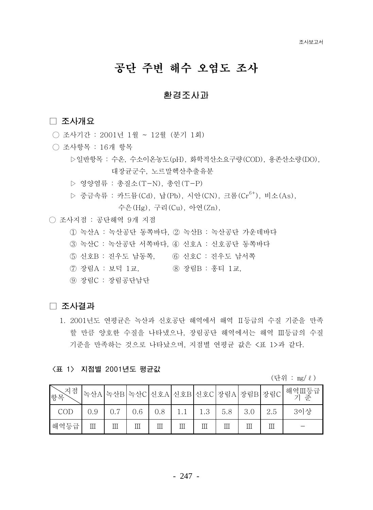# 공단 주변 해수 오염도 조사

# 환경조사과

## □ 조사개요

- 조사기간 : 2001년 1월 ~ 12월 (분기 1회)
- 조사항목 : 16개 항목
	- ▷일반항목 : 수온, 수소이온농도(pH), 화학적산소요구량(COD), 용존산소량(DO), 대장규구수. 노르말헥사추출유부
	- ▷ 영양염류 : 총질소(T-N). 총인(T-P)
	- ▷ 중금속류 : 카드뮴 (Cd), 납 (Pb), 시안 (CN), 크롬 (Cr<sup>6+</sup>), 비소 (As),

수은 (Hg), 구리 (Cu), 아연 (Zn),

- 조사지점 : 공단해역 9개 지점
	- 1 녹산A : 녹산공단 동쪽바다. 2 녹산B : 녹산공단 가우데바다
	- 3 녹산C : 녹산공단 서쪽바다, 4 신호A : 신호공단 동쪽바다
	- 5 신호B : 진우도 남동쪽. 6 신호C : 진우도 남서쪽
	- (7) 장림A : 보덕 1교. ⑧ 장림B : 홍티 1교.
	- (9) 장림C : 장림공단남단

### □ 조사결과

1. 2001년도 연평균은 녹산과 신호공단 해역에서 해역 Ⅱ등급의 수질 기준을 만족 할 만큼 양호한 수질을 나타냈으나, 장림공단 해역에서는 해역 Ⅲ등급의 수질 기준을 만족하는 것으로 나타났으며, 지점별 연평균 값은 <표 1>과 같다.

### 〈표 1〉 지점별 2001년도 평균값

(단위 : mg/ ℓ)

| -지점<br>│항목 |     |   |     |     |   |                | 녹산A 녹산B 녹산C 신호A 신호B 신호C 장림A 장림B 장림C |     | 해역Ⅲ등급<br>기준 |
|------------|-----|---|-----|-----|---|----------------|-------------------------------------|-----|-------------|
| COD        | 0.9 |   | 0.6 | 0.8 |   | 1 <sup>2</sup> | 5.8                                 | 3.0 | 3이상         |
| 해역등급       | Ш   | Ш | Ш   | Ш   | Ш | Ш              |                                     |     |             |